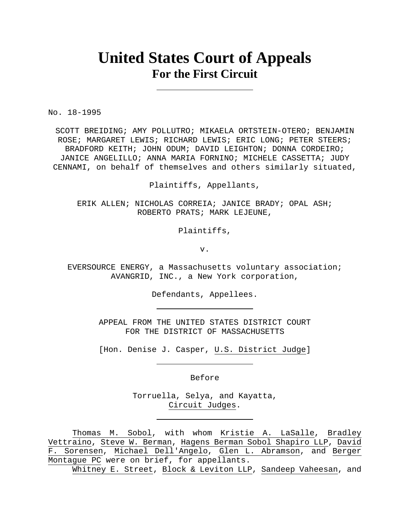# **United States Court of Appeals For the First Circuit**

No. 18-1995

SCOTT BREIDING; AMY POLLUTRO; MIKAELA ORTSTEIN-OTERO; BENJAMIN ROSE; MARGARET LEWIS; RICHARD LEWIS; ERIC LONG; PETER STEERS; BRADFORD KEITH; JOHN ODUM; DAVID LEIGHTON; DONNA CORDEIRO; JANICE ANGELILLO; ANNA MARIA FORNINO; MICHELE CASSETTA; JUDY CENNAMI, on behalf of themselves and others similarly situated,

Plaintiffs, Appellants,

ERIK ALLEN; NICHOLAS CORREIA; JANICE BRADY; OPAL ASH; ROBERTO PRATS; MARK LEJEUNE,

Plaintiffs,

v.

EVERSOURCE ENERGY, a Massachusetts voluntary association; AVANGRID, INC., a New York corporation,

Defendants, Appellees.

APPEAL FROM THE UNITED STATES DISTRICT COURT FOR THE DISTRICT OF MASSACHUSETTS

[Hon. Denise J. Casper, U.S. District Judge]

Before

Torruella, Selya, and Kayatta, Circuit Judges.

Thomas M. Sobol, with whom Kristie A. LaSalle, Bradley Vettraino, Steve W. Berman, Hagens Berman Sobol Shapiro LLP, David F. Sorensen, Michael Dell'Angelo, Glen L. Abramson, and Berger Montague PC were on brief, for appellants.

Whitney E. Street, Block & Leviton LLP, Sandeep Vaheesan, and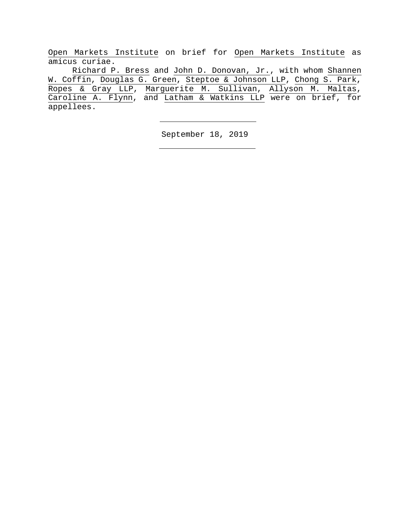Open Markets Institute on brief for Open Markets Institute as amicus curiae.

Richard P. Bress and John D. Donovan, Jr., with whom Shannen W. Coffin, Douglas G. Green, Steptoe & Johnson LLP, Chong S. Park, Ropes & Gray LLP, Marguerite M. Sullivan, Allyson M. Maltas, Caroline A. Flynn, and Latham & Watkins LLP were on brief, for appellees.

September 18, 2019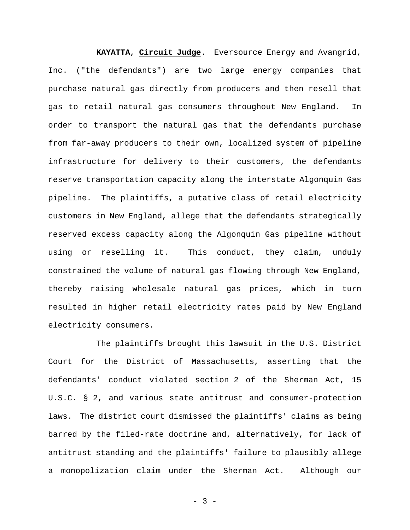**KAYATTA**, **Circuit Judge**. Eversource Energy and Avangrid, Inc. ("the defendants") are two large energy companies that purchase natural gas directly from producers and then resell that gas to retail natural gas consumers throughout New England. In order to transport the natural gas that the defendants purchase from far-away producers to their own, localized system of pipeline infrastructure for delivery to their customers, the defendants reserve transportation capacity along the interstate Algonquin Gas pipeline. The plaintiffs, a putative class of retail electricity customers in New England, allege that the defendants strategically reserved excess capacity along the Algonquin Gas pipeline without using or reselling it. This conduct, they claim, unduly constrained the volume of natural gas flowing through New England, thereby raising wholesale natural gas prices, which in turn resulted in higher retail electricity rates paid by New England electricity consumers.

The plaintiffs brought this lawsuit in the U.S. District Court for the District of Massachusetts, asserting that the defendants' conduct violated section 2 of the Sherman Act, 15 U.S.C. § 2, and various state antitrust and consumer-protection laws. The district court dismissed the plaintiffs' claims as being barred by the filed-rate doctrine and, alternatively, for lack of antitrust standing and the plaintiffs' failure to plausibly allege a monopolization claim under the Sherman Act. Although our

 $- 3 -$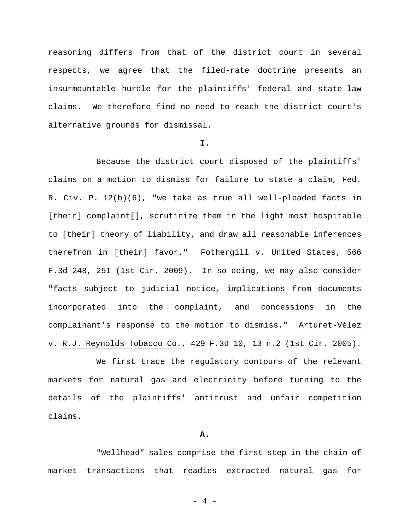reasoning differs from that of the district court in several respects, we agree that the filed-rate doctrine presents an insurmountable hurdle for the plaintiffs' federal and state-law claims. We therefore find no need to reach the district court's alternative grounds for dismissal.

# **I.**

Because the district court disposed of the plaintiffs' claims on a motion to dismiss for failure to state a claim, Fed. R. Civ. P. 12(b)(6), "we take as true all well-pleaded facts in [their] complaint[], scrutinize them in the light most hospitable to [their] theory of liability, and draw all reasonable inferences therefrom in [their] favor." Fothergill v. United States, 566 F.3d 248, 251 (1st Cir. 2009). In so doing, we may also consider "facts subject to judicial notice, implications from documents incorporated into the complaint, and concessions in the complainant's response to the motion to dismiss." Arturet-Vélez v. R.J. Reynolds Tobacco Co., 429 F.3d 10, 13 n.2 (1st Cir. 2005).

We first trace the regulatory contours of the relevant markets for natural gas and electricity before turning to the details of the plaintiffs' antitrust and unfair competition claims.

### **A.**

"Wellhead" sales comprise the first step in the chain of market transactions that readies extracted natural gas for

- 4 -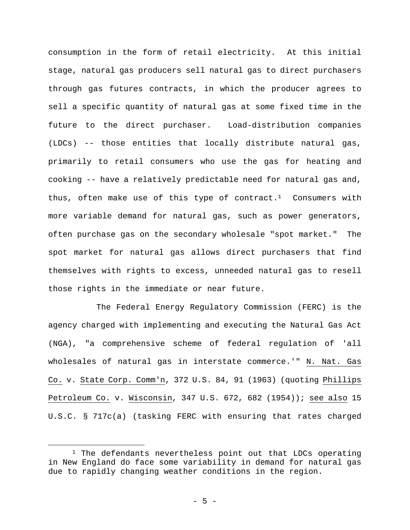consumption in the form of retail electricity. At this initial stage, natural gas producers sell natural gas to direct purchasers through gas futures contracts, in which the producer agrees to sell a specific quantity of natural gas at some fixed time in the future to the direct purchaser. Load-distribution companies (LDCs) -- those entities that locally distribute natural gas, primarily to retail consumers who use the gas for heating and cooking -- have a relatively predictable need for natural gas and, thus, often make use of this type of contract.<sup>1</sup> Consumers with more variable demand for natural gas, such as power generators, often purchase gas on the secondary wholesale "spot market." The spot market for natural gas allows direct purchasers that find themselves with rights to excess, unneeded natural gas to resell those rights in the immediate or near future.

The Federal Energy Regulatory Commission (FERC) is the agency charged with implementing and executing the Natural Gas Act (NGA), "a comprehensive scheme of federal regulation of 'all wholesales of natural gas in interstate commerce.'" N. Nat. Gas Co. v. State Corp. Comm'n, 372 U.S. 84, 91 (1963) (quoting Phillips Petroleum Co. v. Wisconsin, 347 U.S. 672, 682 (1954)); see also 15 U.S.C. § 717c(a) (tasking FERC with ensuring that rates charged

<sup>&</sup>lt;sup>1</sup> The defendants nevertheless point out that LDCs operating in New England do face some variability in demand for natural gas due to rapidly changing weather conditions in the region.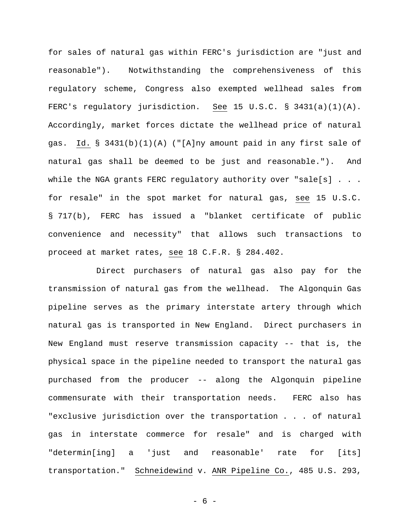for sales of natural gas within FERC's jurisdiction are "just and reasonable"). Notwithstanding the comprehensiveness of this regulatory scheme, Congress also exempted wellhead sales from FERC's regulatory jurisdiction. See 15 U.S.C. § 3431(a)(1)(A). Accordingly, market forces dictate the wellhead price of natural gas. Id. § 3431(b)(1)(A) ("[A]ny amount paid in any first sale of natural gas shall be deemed to be just and reasonable."). And while the NGA grants FERC regulatory authority over "sale[s] . . . for resale" in the spot market for natural gas, see 15 U.S.C. § 717(b), FERC has issued a "blanket certificate of public convenience and necessity" that allows such transactions to proceed at market rates, see 18 C.F.R. § 284.402.

Direct purchasers of natural gas also pay for the transmission of natural gas from the wellhead. The Algonquin Gas pipeline serves as the primary interstate artery through which natural gas is transported in New England. Direct purchasers in New England must reserve transmission capacity -- that is, the physical space in the pipeline needed to transport the natural gas purchased from the producer -- along the Algonquin pipeline commensurate with their transportation needs. FERC also has "exclusive jurisdiction over the transportation . . . of natural gas in interstate commerce for resale" and is charged with "determin[ing] a 'just and reasonable' rate for [its] transportation." Schneidewind v. ANR Pipeline Co., 485 U.S. 293,

- 6 -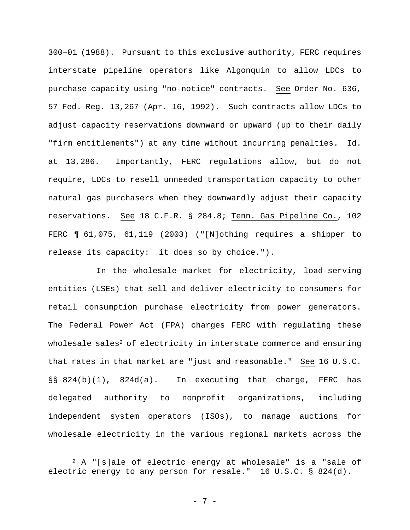300–01 (1988). Pursuant to this exclusive authority, FERC requires interstate pipeline operators like Algonquin to allow LDCs to purchase capacity using "no-notice" contracts. See Order No. 636, 57 Fed. Reg. 13,267 (Apr. 16, 1992). Such contracts allow LDCs to adjust capacity reservations downward or upward (up to their daily "firm entitlements") at any time without incurring penalties. Id. at 13,286. Importantly, FERC regulations allow, but do not require, LDCs to resell unneeded transportation capacity to other natural gas purchasers when they downwardly adjust their capacity reservations. See 18 C.F.R. § 284.8; Tenn. Gas Pipeline Co., 102 FERC ¶ 61,075, 61,119 (2003) ("[N]othing requires a shipper to release its capacity: it does so by choice.").

In the wholesale market for electricity, load-serving entities (LSEs) that sell and deliver electricity to consumers for retail consumption purchase electricity from power generators. The Federal Power Act (FPA) charges FERC with regulating these wholesale sales<sup>2</sup> of electricity in interstate commerce and ensuring that rates in that market are "just and reasonable." See 16 U.S.C. §§ 824(b)(1), 824d(a). In executing that charge, FERC has delegated authority to nonprofit organizations, including independent system operators (ISOs), to manage auctions for wholesale electricity in the various regional markets across the

 <sup>2</sup> A "[s]ale of electric energy at wholesale" is a "sale of electric energy to any person for resale." 16 U.S.C. § 824(d).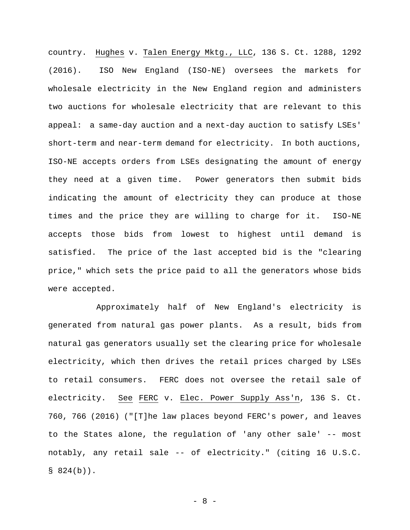country. Hughes v. Talen Energy Mktg., LLC, 136 S. Ct. 1288, 1292 (2016). ISO New England (ISO-NE) oversees the markets for wholesale electricity in the New England region and administers two auctions for wholesale electricity that are relevant to this appeal: a same-day auction and a next-day auction to satisfy LSEs' short-term and near-term demand for electricity. In both auctions, ISO-NE accepts orders from LSEs designating the amount of energy they need at a given time. Power generators then submit bids indicating the amount of electricity they can produce at those times and the price they are willing to charge for it. ISO-NE accepts those bids from lowest to highest until demand is satisfied. The price of the last accepted bid is the "clearing price," which sets the price paid to all the generators whose bids were accepted.

Approximately half of New England's electricity is generated from natural gas power plants. As a result, bids from natural gas generators usually set the clearing price for wholesale electricity, which then drives the retail prices charged by LSEs to retail consumers. FERC does not oversee the retail sale of electricity. See FERC v. Elec. Power Supply Ass'n, 136 S. Ct. 760, 766 (2016) ("[T]he law places beyond FERC's power, and leaves to the States alone, the regulation of 'any other sale' -- most notably, any retail sale -- of electricity." (citing 16 U.S.C.  $$824(b)$ .

- 8 -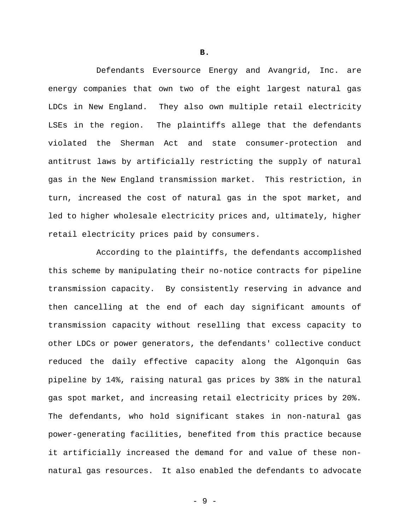Defendants Eversource Energy and Avangrid, Inc. are energy companies that own two of the eight largest natural gas LDCs in New England. They also own multiple retail electricity LSEs in the region. The plaintiffs allege that the defendants violated the Sherman Act and state consumer-protection and antitrust laws by artificially restricting the supply of natural gas in the New England transmission market. This restriction, in turn, increased the cost of natural gas in the spot market, and led to higher wholesale electricity prices and, ultimately, higher retail electricity prices paid by consumers.

According to the plaintiffs, the defendants accomplished this scheme by manipulating their no-notice contracts for pipeline transmission capacity. By consistently reserving in advance and then cancelling at the end of each day significant amounts of transmission capacity without reselling that excess capacity to other LDCs or power generators, the defendants' collective conduct reduced the daily effective capacity along the Algonquin Gas pipeline by 14%, raising natural gas prices by 38% in the natural gas spot market, and increasing retail electricity prices by 20%. The defendants, who hold significant stakes in non-natural gas power-generating facilities, benefited from this practice because it artificially increased the demand for and value of these nonnatural gas resources. It also enabled the defendants to advocate

**B.**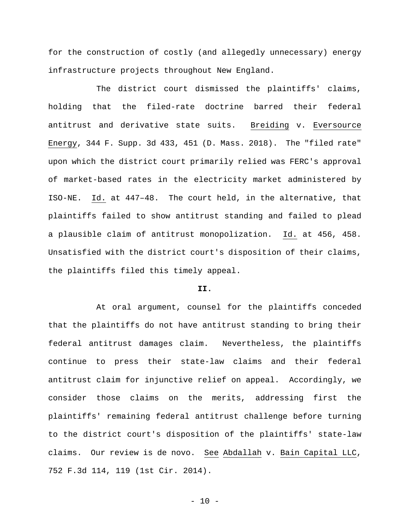for the construction of costly (and allegedly unnecessary) energy infrastructure projects throughout New England.

The district court dismissed the plaintiffs' claims, holding that the filed-rate doctrine barred their federal antitrust and derivative state suits. Breiding v. Eversource Energy, 344 F. Supp. 3d 433, 451 (D. Mass. 2018). The "filed rate" upon which the district court primarily relied was FERC's approval of market-based rates in the electricity market administered by ISO-NE. Id. at 447–48. The court held, in the alternative, that plaintiffs failed to show antitrust standing and failed to plead a plausible claim of antitrust monopolization. Id. at 456, 458. Unsatisfied with the district court's disposition of their claims, the plaintiffs filed this timely appeal.

## **II.**

At oral argument, counsel for the plaintiffs conceded that the plaintiffs do not have antitrust standing to bring their federal antitrust damages claim. Nevertheless, the plaintiffs continue to press their state-law claims and their federal antitrust claim for injunctive relief on appeal. Accordingly, we consider those claims on the merits, addressing first the plaintiffs' remaining federal antitrust challenge before turning to the district court's disposition of the plaintiffs' state-law claims. Our review is de novo. See Abdallah v. Bain Capital LLC, 752 F.3d 114, 119 (1st Cir. 2014).

 $- 10 -$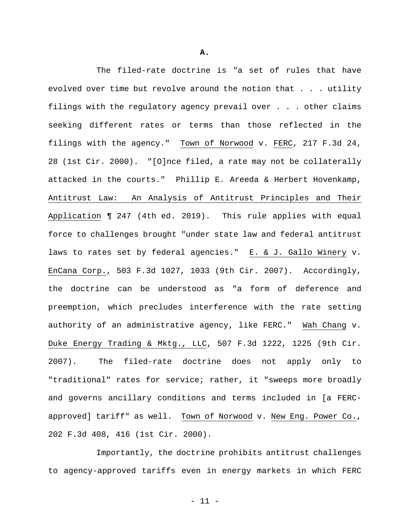The filed-rate doctrine is "a set of rules that have evolved over time but revolve around the notion that . . . utility filings with the regulatory agency prevail over . . . other claims seeking different rates or terms than those reflected in the filings with the agency." Town of Norwood v. FERC, 217 F.3d 24, 28 (1st Cir. 2000). "[O]nce filed, a rate may not be collaterally attacked in the courts." Phillip E. Areeda & Herbert Hovenkamp, Antitrust Law: An Analysis of Antitrust Principles and Their Application ¶ 247 (4th ed. 2019). This rule applies with equal force to challenges brought "under state law and federal antitrust laws to rates set by federal agencies." E. & J. Gallo Winery v. EnCana Corp., 503 F.3d 1027, 1033 (9th Cir. 2007). Accordingly, the doctrine can be understood as "a form of deference and preemption, which precludes interference with the rate setting authority of an administrative agency, like FERC." Wah Chang v. Duke Energy Trading & Mktg., LLC, 507 F.3d 1222, 1225 (9th Cir. 2007). The filed-rate doctrine does not apply only to "traditional" rates for service; rather, it "sweeps more broadly and governs ancillary conditions and terms included in [a FERCapproved] tariff" as well. Town of Norwood v. New Eng. Power Co., 202 F.3d 408, 416 (1st Cir. 2000).

Importantly, the doctrine prohibits antitrust challenges to agency-approved tariffs even in energy markets in which FERC

**A.** 

- 11 -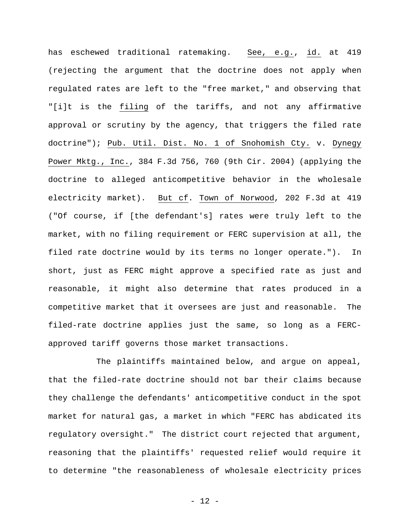has eschewed traditional ratemaking. See, e.g., id. at 419 (rejecting the argument that the doctrine does not apply when regulated rates are left to the "free market," and observing that "[i]t is the filing of the tariffs, and not any affirmative approval or scrutiny by the agency, that triggers the filed rate doctrine"); Pub. Util. Dist. No. 1 of Snohomish Cty. v. Dynegy Power Mktg., Inc., 384 F.3d 756, 760 (9th Cir. 2004) (applying the doctrine to alleged anticompetitive behavior in the wholesale electricity market). But cf. Town of Norwood, 202 F.3d at 419 ("Of course, if [the defendant's] rates were truly left to the market, with no filing requirement or FERC supervision at all, the filed rate doctrine would by its terms no longer operate."). In short, just as FERC might approve a specified rate as just and reasonable, it might also determine that rates produced in a competitive market that it oversees are just and reasonable. The filed-rate doctrine applies just the same, so long as a FERCapproved tariff governs those market transactions.

The plaintiffs maintained below, and argue on appeal, that the filed-rate doctrine should not bar their claims because they challenge the defendants' anticompetitive conduct in the spot market for natural gas, a market in which "FERC has abdicated its regulatory oversight." The district court rejected that argument, reasoning that the plaintiffs' requested relief would require it to determine "the reasonableness of wholesale electricity prices

- 12 -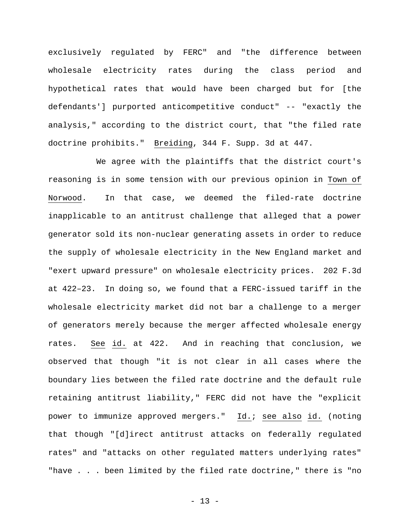exclusively regulated by FERC" and "the difference between wholesale electricity rates during the class period and hypothetical rates that would have been charged but for [the defendants'] purported anticompetitive conduct" -- "exactly the analysis," according to the district court, that "the filed rate doctrine prohibits." Breiding, 344 F. Supp. 3d at 447.

We agree with the plaintiffs that the district court's reasoning is in some tension with our previous opinion in Town of Norwood. In that case, we deemed the filed-rate doctrine inapplicable to an antitrust challenge that alleged that a power generator sold its non-nuclear generating assets in order to reduce the supply of wholesale electricity in the New England market and "exert upward pressure" on wholesale electricity prices. 202 F.3d at 422–23. In doing so, we found that a FERC-issued tariff in the wholesale electricity market did not bar a challenge to a merger of generators merely because the merger affected wholesale energy rates. See id. at 422. And in reaching that conclusion, we observed that though "it is not clear in all cases where the boundary lies between the filed rate doctrine and the default rule retaining antitrust liability," FERC did not have the "explicit power to immunize approved mergers." Id.; see also id. (noting that though "[d]irect antitrust attacks on federally regulated rates" and "attacks on other regulated matters underlying rates" "have . . . been limited by the filed rate doctrine," there is "no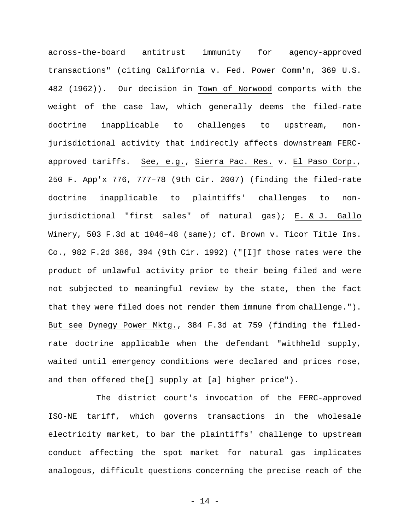across-the-board antitrust immunity for agency-approved transactions" (citing California v. Fed. Power Comm'n, 369 U.S. 482 (1962)). Our decision in Town of Norwood comports with the weight of the case law, which generally deems the filed-rate doctrine inapplicable to challenges to upstream, nonjurisdictional activity that indirectly affects downstream FERCapproved tariffs. See, e.g., Sierra Pac. Res. v. El Paso Corp., 250 F. App'x 776, 777–78 (9th Cir. 2007) (finding the filed-rate doctrine inapplicable to plaintiffs' challenges to nonjurisdictional "first sales" of natural gas); E. & J. Gallo Winery, 503 F.3d at 1046–48 (same); cf. Brown v. Ticor Title Ins. Co., 982 F.2d 386, 394 (9th Cir. 1992) ("[I]f those rates were the product of unlawful activity prior to their being filed and were not subjected to meaningful review by the state, then the fact that they were filed does not render them immune from challenge."). But see Dynegy Power Mktg., 384 F.3d at 759 (finding the filedrate doctrine applicable when the defendant "withheld supply, waited until emergency conditions were declared and prices rose, and then offered the[] supply at [a] higher price").

The district court's invocation of the FERC-approved ISO-NE tariff, which governs transactions in the wholesale electricity market, to bar the plaintiffs' challenge to upstream conduct affecting the spot market for natural gas implicates analogous, difficult questions concerning the precise reach of the

- 14 -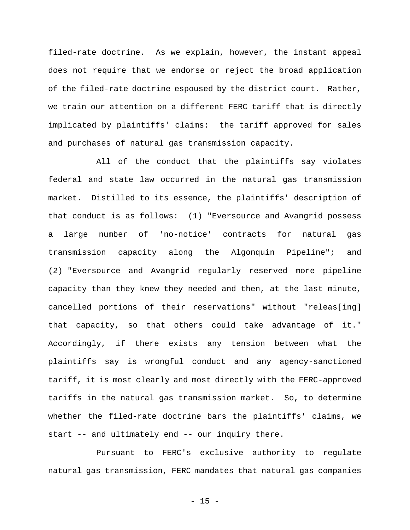filed-rate doctrine. As we explain, however, the instant appeal does not require that we endorse or reject the broad application of the filed-rate doctrine espoused by the district court. Rather, we train our attention on a different FERC tariff that is directly implicated by plaintiffs' claims: the tariff approved for sales and purchases of natural gas transmission capacity.

All of the conduct that the plaintiffs say violates federal and state law occurred in the natural gas transmission market. Distilled to its essence, the plaintiffs' description of that conduct is as follows: (1) "Eversource and Avangrid possess a large number of 'no-notice' contracts for natural gas transmission capacity along the Algonquin Pipeline"; and (2) "Eversource and Avangrid regularly reserved more pipeline capacity than they knew they needed and then, at the last minute, cancelled portions of their reservations" without "releas[ing] that capacity, so that others could take advantage of it." Accordingly, if there exists any tension between what the plaintiffs say is wrongful conduct and any agency-sanctioned tariff, it is most clearly and most directly with the FERC-approved tariffs in the natural gas transmission market. So, to determine whether the filed-rate doctrine bars the plaintiffs' claims, we start -- and ultimately end -- our inquiry there.

Pursuant to FERC's exclusive authority to regulate natural gas transmission, FERC mandates that natural gas companies

 $- 15 -$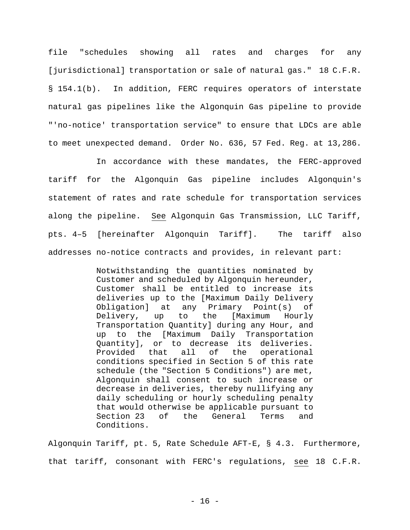file "schedules showing all rates and charges for any [jurisdictional] transportation or sale of natural gas." 18 C.F.R. § 154.1(b). In addition, FERC requires operators of interstate natural gas pipelines like the Algonquin Gas pipeline to provide "'no-notice' transportation service" to ensure that LDCs are able to meet unexpected demand. Order No. 636, 57 Fed. Reg. at 13,286.

In accordance with these mandates, the FERC-approved tariff for the Algonquin Gas pipeline includes Algonquin's statement of rates and rate schedule for transportation services along the pipeline. See Algonquin Gas Transmission, LLC Tariff, pts. 4–5 [hereinafter Algonquin Tariff]. The tariff also addresses no-notice contracts and provides, in relevant part:

> Notwithstanding the quantities nominated by Customer and scheduled by Algonquin hereunder, Customer shall be entitled to increase its deliveries up to the [Maximum Daily Delivery Obligation] at any Primary Point(s) of Delivery, up to the [Maximum Hourly Transportation Quantity] during any Hour, and up to the [Maximum Daily Transportation Quantity], or to decrease its deliveries. Provided that all of the operational conditions specified in Section 5 of this rate schedule (the "Section 5 Conditions") are met, Algonquin shall consent to such increase or decrease in deliveries, thereby nullifying any daily scheduling or hourly scheduling penalty that would otherwise be applicable pursuant to Section 23 of the General Terms and Conditions.

Algonquin Tariff, pt. 5, Rate Schedule AFT-E, § 4.3. Furthermore, that tariff, consonant with FERC's regulations, see 18 C.F.R.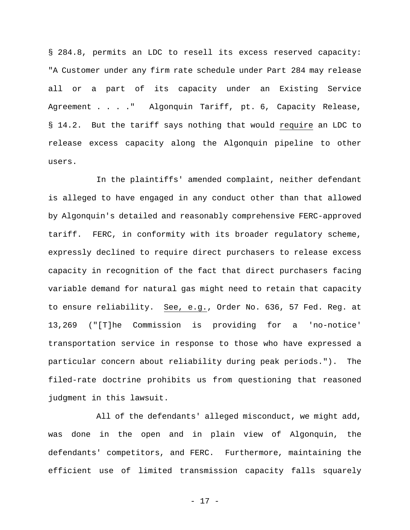§ 284.8, permits an LDC to resell its excess reserved capacity: "A Customer under any firm rate schedule under Part 284 may release all or a part of its capacity under an Existing Service Agreement . . . . " Algonquin Tariff, pt. 6, Capacity Release, § 14.2. But the tariff says nothing that would require an LDC to release excess capacity along the Algonquin pipeline to other users.

In the plaintiffs' amended complaint, neither defendant is alleged to have engaged in any conduct other than that allowed by Algonquin's detailed and reasonably comprehensive FERC-approved tariff. FERC, in conformity with its broader regulatory scheme, expressly declined to require direct purchasers to release excess capacity in recognition of the fact that direct purchasers facing variable demand for natural gas might need to retain that capacity to ensure reliability. See, e.g., Order No. 636, 57 Fed. Reg. at 13,269 ("[T]he Commission is providing for a 'no-notice' transportation service in response to those who have expressed a particular concern about reliability during peak periods."). The filed-rate doctrine prohibits us from questioning that reasoned judgment in this lawsuit.

All of the defendants' alleged misconduct, we might add, was done in the open and in plain view of Algonquin, the defendants' competitors, and FERC. Furthermore, maintaining the efficient use of limited transmission capacity falls squarely

- 17 -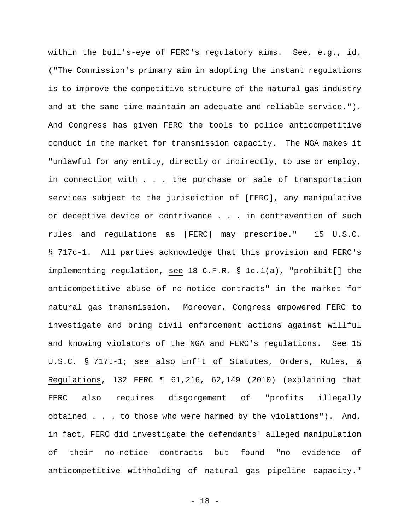within the bull's-eye of FERC's regulatory aims. See, e.g., id. ("The Commission's primary aim in adopting the instant regulations is to improve the competitive structure of the natural gas industry and at the same time maintain an adequate and reliable service."). And Congress has given FERC the tools to police anticompetitive conduct in the market for transmission capacity. The NGA makes it "unlawful for any entity, directly or indirectly, to use or employ, in connection with . . . the purchase or sale of transportation services subject to the jurisdiction of [FERC], any manipulative or deceptive device or contrivance . . . in contravention of such rules and regulations as [FERC] may prescribe." 15 U.S.C. § 717c-1. All parties acknowledge that this provision and FERC's implementing regulation, see 18 C.F.R. § 1c.1(a), "prohibit[] the anticompetitive abuse of no-notice contracts" in the market for natural gas transmission. Moreover, Congress empowered FERC to investigate and bring civil enforcement actions against willful and knowing violators of the NGA and FERC's regulations. See 15 U.S.C. § 717t-1; see also Enf't of Statutes, Orders, Rules, & Regulations, 132 FERC ¶ 61,216, 62,149 (2010) (explaining that FERC also requires disgorgement of "profits illegally obtained . . . to those who were harmed by the violations"). And, in fact, FERC did investigate the defendants' alleged manipulation of their no-notice contracts but found "no evidence of anticompetitive withholding of natural gas pipeline capacity."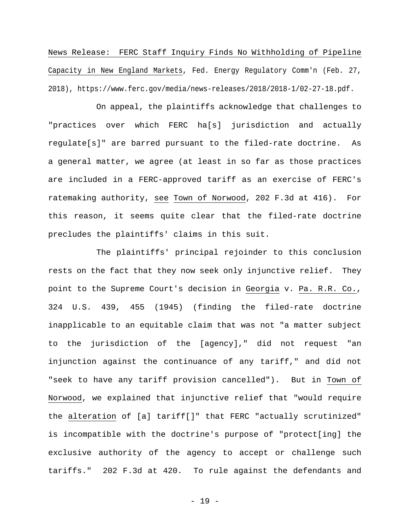News Release: FERC Staff Inquiry Finds No Withholding of Pipeline Capacity in New England Markets, Fed. Energy Regulatory Comm'n (Feb. 27, 2018), https://www.ferc.gov/media/news-releases/2018/2018-1/02-27-18.pdf.

On appeal, the plaintiffs acknowledge that challenges to "practices over which FERC ha[s] jurisdiction and actually regulate[s]" are barred pursuant to the filed-rate doctrine. As a general matter, we agree (at least in so far as those practices are included in a FERC-approved tariff as an exercise of FERC's ratemaking authority, see Town of Norwood, 202 F.3d at 416). For this reason, it seems quite clear that the filed-rate doctrine precludes the plaintiffs' claims in this suit.

The plaintiffs' principal rejoinder to this conclusion rests on the fact that they now seek only injunctive relief. They point to the Supreme Court's decision in Georgia v. Pa. R.R. Co., 324 U.S. 439, 455 (1945) (finding the filed-rate doctrine inapplicable to an equitable claim that was not "a matter subject to the jurisdiction of the [agency]," did not request "an injunction against the continuance of any tariff," and did not "seek to have any tariff provision cancelled"). But in Town of Norwood, we explained that injunctive relief that "would require the alteration of [a] tariff[]" that FERC "actually scrutinized" is incompatible with the doctrine's purpose of "protect[ing] the exclusive authority of the agency to accept or challenge such tariffs." 202 F.3d at 420. To rule against the defendants and

- 19 -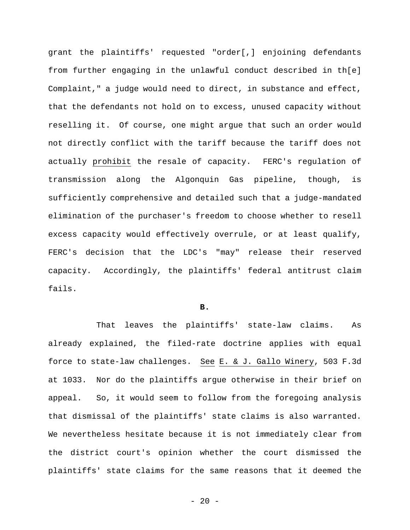grant the plaintiffs' requested "order[,] enjoining defendants from further engaging in the unlawful conduct described in th[e] Complaint," a judge would need to direct, in substance and effect, that the defendants not hold on to excess, unused capacity without reselling it. Of course, one might argue that such an order would not directly conflict with the tariff because the tariff does not actually prohibit the resale of capacity. FERC's regulation of transmission along the Algonquin Gas pipeline, though, is sufficiently comprehensive and detailed such that a judge-mandated elimination of the purchaser's freedom to choose whether to resell excess capacity would effectively overrule, or at least qualify, FERC's decision that the LDC's "may" release their reserved capacity. Accordingly, the plaintiffs' federal antitrust claim fails.

#### **B.**

That leaves the plaintiffs' state-law claims. As already explained, the filed-rate doctrine applies with equal force to state-law challenges. See E. & J. Gallo Winery, 503 F.3d at 1033. Nor do the plaintiffs argue otherwise in their brief on appeal. So, it would seem to follow from the foregoing analysis that dismissal of the plaintiffs' state claims is also warranted. We nevertheless hesitate because it is not immediately clear from the district court's opinion whether the court dismissed the plaintiffs' state claims for the same reasons that it deemed the

 $- 20 -$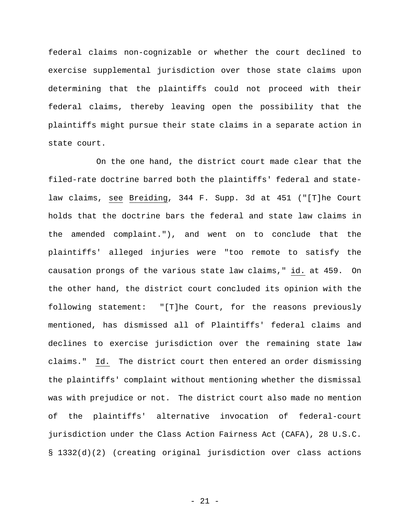federal claims non-cognizable or whether the court declined to exercise supplemental jurisdiction over those state claims upon determining that the plaintiffs could not proceed with their federal claims, thereby leaving open the possibility that the plaintiffs might pursue their state claims in a separate action in state court.

On the one hand, the district court made clear that the filed-rate doctrine barred both the plaintiffs' federal and statelaw claims, see Breiding, 344 F. Supp. 3d at 451 ("[T]he Court holds that the doctrine bars the federal and state law claims in the amended complaint."), and went on to conclude that the plaintiffs' alleged injuries were "too remote to satisfy the causation prongs of the various state law claims," id. at 459. On the other hand, the district court concluded its opinion with the following statement: "[T]he Court, for the reasons previously mentioned, has dismissed all of Plaintiffs' federal claims and declines to exercise jurisdiction over the remaining state law claims." Id. The district court then entered an order dismissing the plaintiffs' complaint without mentioning whether the dismissal was with prejudice or not. The district court also made no mention of the plaintiffs' alternative invocation of federal-court jurisdiction under the Class Action Fairness Act (CAFA), 28 U.S.C. § 1332(d)(2) (creating original jurisdiction over class actions

- 21 -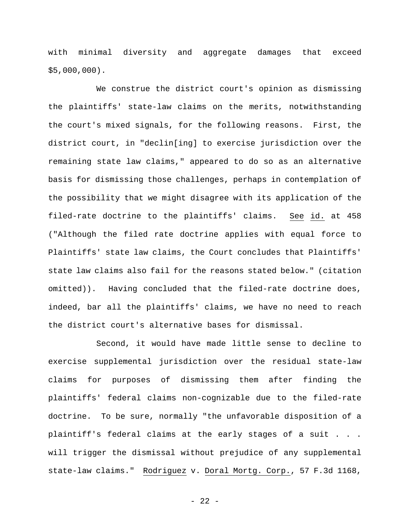with minimal diversity and aggregate damages that exceed \$5,000,000).

We construe the district court's opinion as dismissing the plaintiffs' state-law claims on the merits, notwithstanding the court's mixed signals, for the following reasons. First, the district court, in "declin[ing] to exercise jurisdiction over the remaining state law claims," appeared to do so as an alternative basis for dismissing those challenges, perhaps in contemplation of the possibility that we might disagree with its application of the filed-rate doctrine to the plaintiffs' claims. See id. at 458 ("Although the filed rate doctrine applies with equal force to Plaintiffs' state law claims, the Court concludes that Plaintiffs' state law claims also fail for the reasons stated below." (citation omitted)). Having concluded that the filed-rate doctrine does, indeed, bar all the plaintiffs' claims, we have no need to reach the district court's alternative bases for dismissal.

Second, it would have made little sense to decline to exercise supplemental jurisdiction over the residual state-law claims for purposes of dismissing them after finding the plaintiffs' federal claims non-cognizable due to the filed-rate doctrine. To be sure, normally "the unfavorable disposition of a plaintiff's federal claims at the early stages of a suit . . . will trigger the dismissal without prejudice of any supplemental state-law claims." Rodriguez v. Doral Mortg. Corp., 57 F.3d 1168,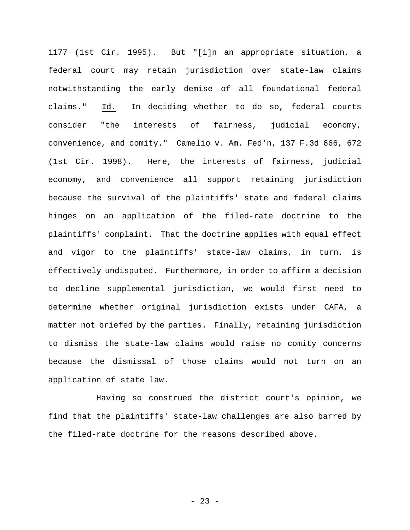1177 (1st Cir. 1995). But "[i]n an appropriate situation, a federal court may retain jurisdiction over state-law claims notwithstanding the early demise of all foundational federal claims." Id. In deciding whether to do so, federal courts consider "the interests of fairness, judicial economy, convenience, and comity." Camelio v. Am. Fed'n, 137 F.3d 666, 672 (1st Cir. 1998). Here, the interests of fairness, judicial economy, and convenience all support retaining jurisdiction because the survival of the plaintiffs' state and federal claims hinges on an application of the filed-rate doctrine to the plaintiffs' complaint. That the doctrine applies with equal effect and vigor to the plaintiffs' state-law claims, in turn, is effectively undisputed. Furthermore, in order to affirm a decision to decline supplemental jurisdiction, we would first need to determine whether original jurisdiction exists under CAFA, a matter not briefed by the parties. Finally, retaining jurisdiction to dismiss the state-law claims would raise no comity concerns because the dismissal of those claims would not turn on an application of state law.

Having so construed the district court's opinion, we find that the plaintiffs' state-law challenges are also barred by the filed-rate doctrine for the reasons described above.